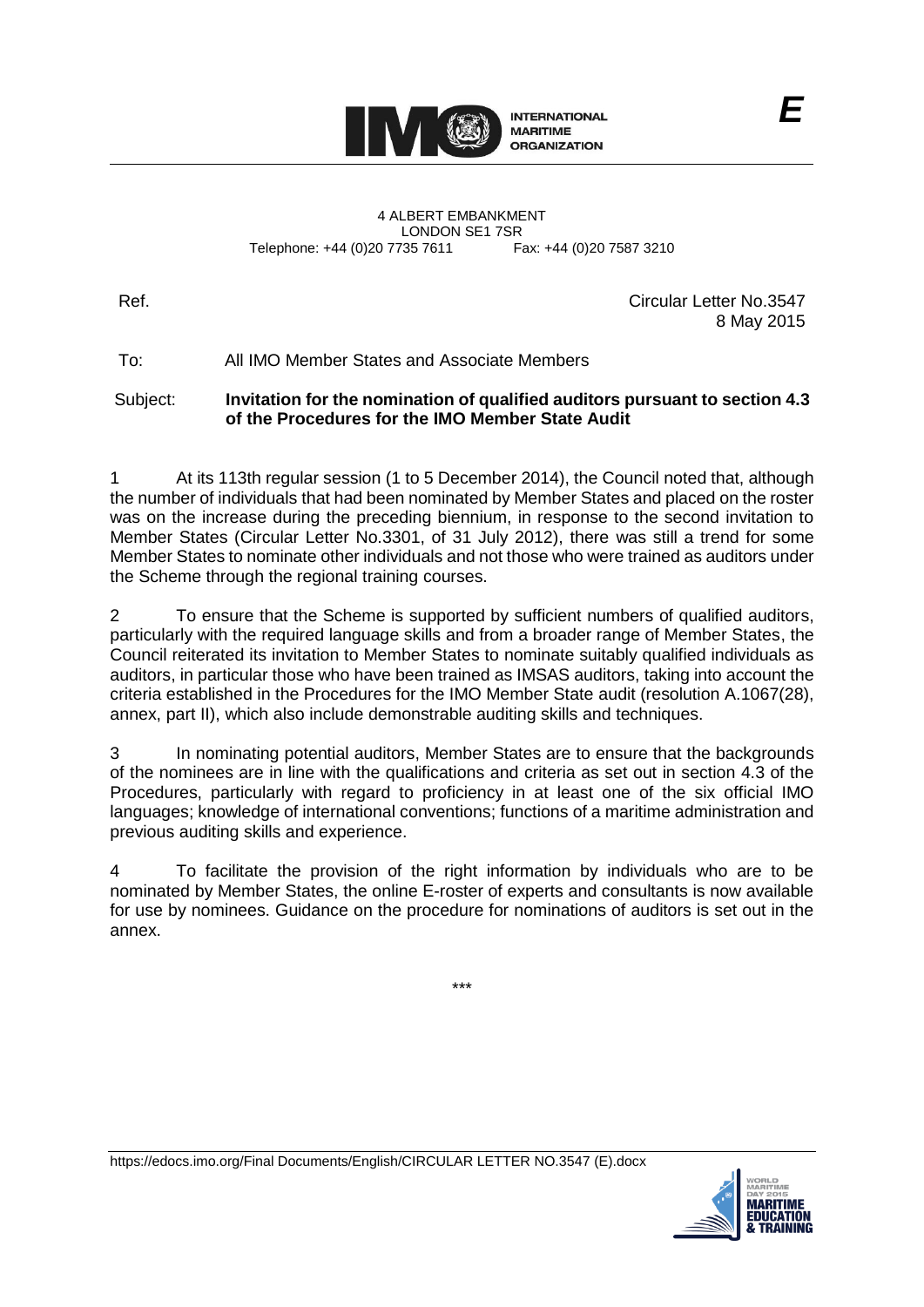

4 ALBERT EMBANKMENT LONDON SE1 7SR<br>735 7611 Fax: +44 (0)20 7587 3210 Telephone: +44 (0)20 7735 7611

Ref. Circular Letter No.3547 8 May 2015

To: All IMO Member States and Associate Members

Subject: **Invitation for the nomination of qualified auditors pursuant to section 4.3 of the Procedures for the IMO Member State Audit**

1 At its 113th regular session (1 to 5 December 2014), the Council noted that, although the number of individuals that had been nominated by Member States and placed on the roster was on the increase during the preceding biennium, in response to the second invitation to Member States (Circular Letter No.3301, of 31 July 2012), there was still a trend for some Member States to nominate other individuals and not those who were trained as auditors under the Scheme through the regional training courses.

2 To ensure that the Scheme is supported by sufficient numbers of qualified auditors, particularly with the required language skills and from a broader range of Member States, the Council reiterated its invitation to Member States to nominate suitably qualified individuals as auditors, in particular those who have been trained as IMSAS auditors, taking into account the criteria established in the Procedures for the IMO Member State audit (resolution A.1067(28), annex, part II), which also include demonstrable auditing skills and techniques.

3 In nominating potential auditors, Member States are to ensure that the backgrounds of the nominees are in line with the qualifications and criteria as set out in section 4.3 of the Procedures, particularly with regard to proficiency in at least one of the six official IMO languages; knowledge of international conventions; functions of a maritime administration and previous auditing skills and experience.

4 To facilitate the provision of the right information by individuals who are to be nominated by Member States, the online E-roster of experts and consultants is now available for use by nominees. Guidance on the procedure for nominations of auditors is set out in the annex.

\*\*\*

https://edocs.imo.org/Final Documents/English/CIRCULAR LETTER NO.3547 (E).docx

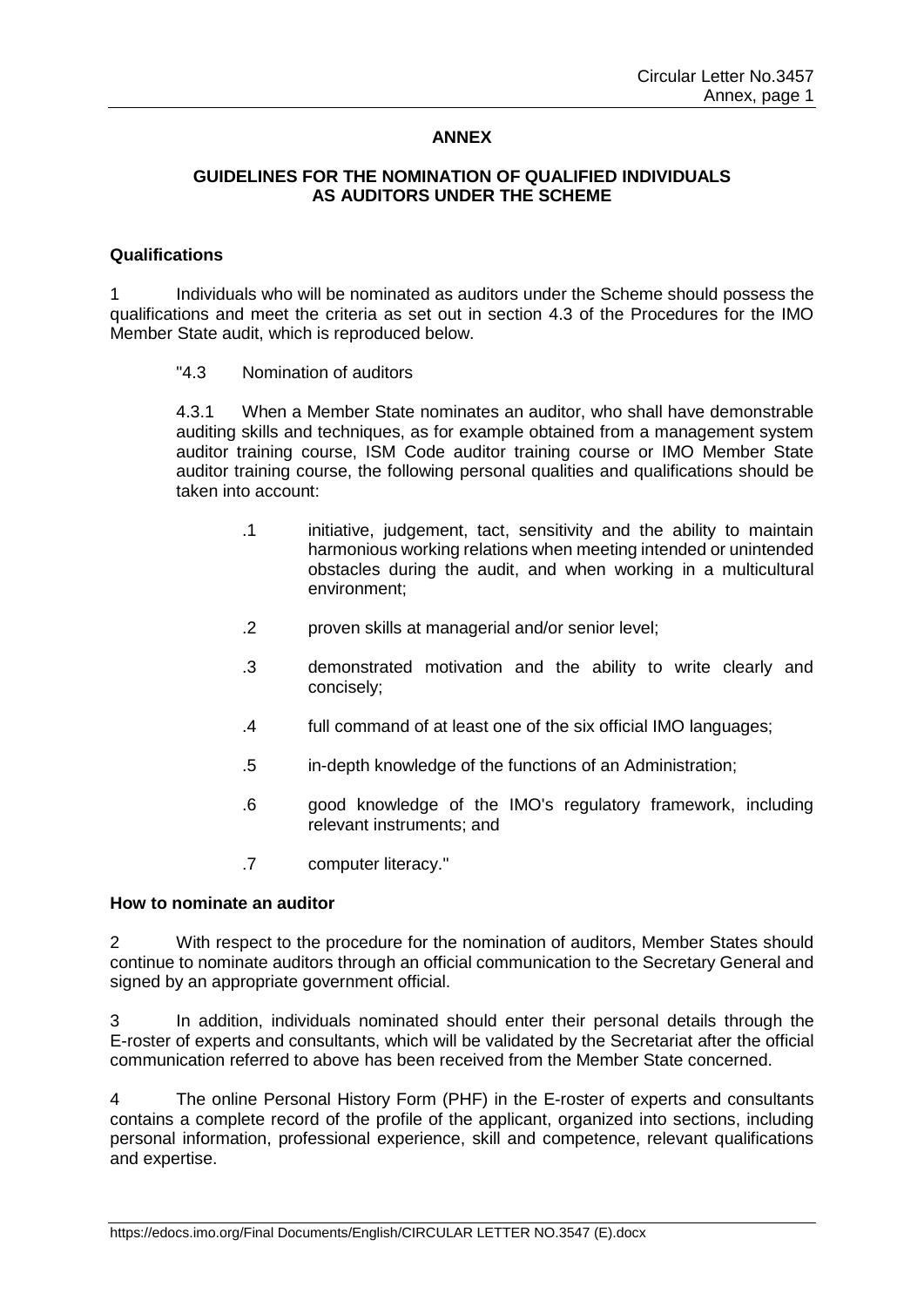## **ANNEX**

## **GUIDELINES FOR THE NOMINATION OF QUALIFIED INDIVIDUALS AS AUDITORS UNDER THE SCHEME**

## **Qualifications**

1 Individuals who will be nominated as auditors under the Scheme should possess the qualifications and meet the criteria as set out in section 4.3 of the Procedures for the IMO Member State audit, which is reproduced below.

"4.3 Nomination of auditors

4.3.1 When a Member State nominates an auditor, who shall have demonstrable auditing skills and techniques, as for example obtained from a management system auditor training course, ISM Code auditor training course or IMO Member State auditor training course, the following personal qualities and qualifications should be taken into account:

- .1 initiative, judgement, tact, sensitivity and the ability to maintain harmonious working relations when meeting intended or unintended obstacles during the audit, and when working in a multicultural environment;
- .2 proven skills at managerial and/or senior level;
- .3 demonstrated motivation and the ability to write clearly and concisely;
- .4 full command of at least one of the six official IMO languages;
- .5 in-depth knowledge of the functions of an Administration;
- .6 good knowledge of the IMO's regulatory framework, including relevant instruments; and
- .7 computer literacy."

## **How to nominate an auditor**

2 With respect to the procedure for the nomination of auditors, Member States should continue to nominate auditors through an official communication to the Secretary General and signed by an appropriate government official.

3 In addition, individuals nominated should enter their personal details through the E-roster of experts and consultants, which will be validated by the Secretariat after the official communication referred to above has been received from the Member State concerned.

4 The online Personal History Form (PHF) in the E-roster of experts and consultants contains a complete record of the profile of the applicant, organized into sections, including personal information, professional experience, skill and competence, relevant qualifications and expertise.